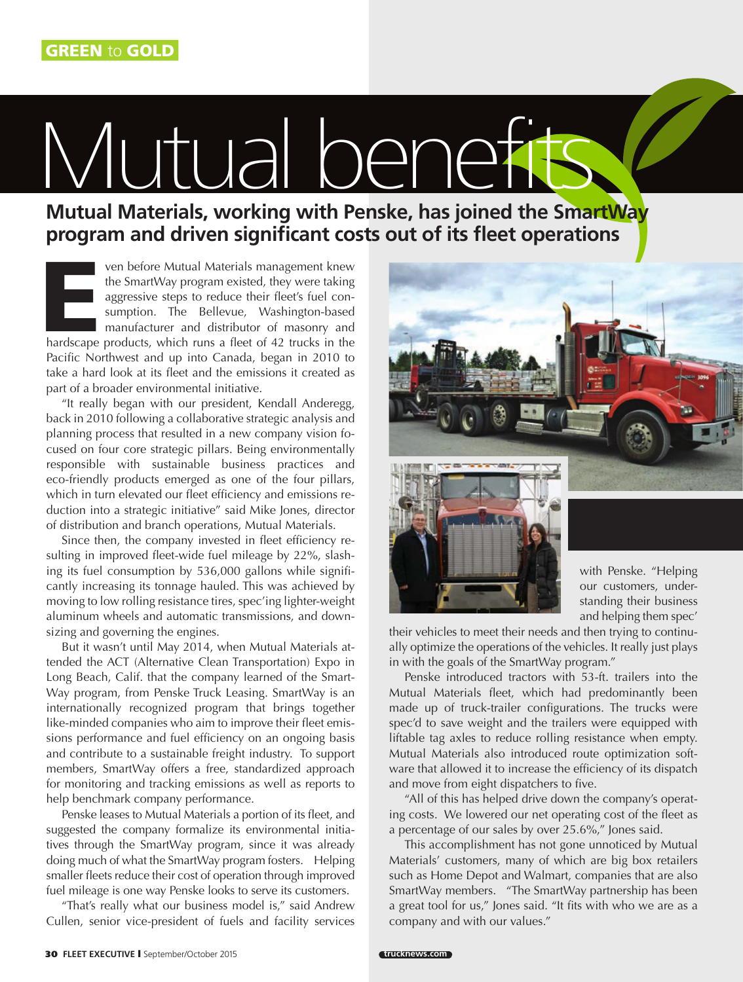## Vlutual bene

**Mutual Materials, working with Penske, has joined the SmartWay program and driven significant costs out of its fleet operations**

ven before Mutual Materials management knew<br>
the SmartWay program existed, they were taking<br>
aggressive steps to reduce their fleet's fuel con-<br>
sumption. The Bellevue, Washington-based<br>
manufacturer and distributor of mas the SmartWay program existed, they were taking aggressive steps to reduce their fleet's fuel consumption. The Bellevue, Washington-based manufacturer and distributor of masonry and Pacific Northwest and up into Canada, began in 2010 to take a hard look at its fleet and the emissions it created as part of a broader environmental initiative.

"It really began with our president, Kendall Anderegg, back in 2010 following a collaborative strategic analysis and planning process that resulted in a new company vision focused on four core strategic pillars. Being environmentally responsible with sustainable business practices and eco-friendly products emerged as one of the four pillars, which in turn elevated our fleet efficiency and emissions reduction into a strategic initiative" said Mike Jones, director of distribution and branch operations, Mutual Materials.

Since then, the company invested in fleet efficiency resulting in improved fleet-wide fuel mileage by 22%, slashing its fuel consumption by 536,000 gallons while significantly increasing its tonnage hauled. This was achieved by moving to low rolling resistance tires, spec'ing lighter-weight aluminum wheels and automatic transmissions, and downsizing and governing the engines.

But it wasn't until May 2014, when Mutual Materials attended the ACT (Alternative Clean Transportation) Expo in Long Beach, Calif. that the company learned of the Smart-Way program, from Penske Truck Leasing. SmartWay is an internationally recognized program that brings together like-minded companies who aim to improve their fleet emissions performance and fuel efficiency on an ongoing basis and contribute to a sustainable freight industry. To support members, SmartWay offers a free, standardized approach for monitoring and tracking emissions as well as reports to help benchmark company performance.

Penske leases to Mutual Materials a portion of its fleet, and suggested the company formalize its environmental initiatives through the SmartWay program, since it was already doing much of what the SmartWay program fosters. Helping smaller fleets reduce their cost of operation through improved fuel mileage is one way Penske looks to serve its customers.

"That's really what our business model is," said Andrew Cullen, senior vice-president of fuels and facility services





with Penske. "Helping our customers, understanding their business and helping them spec'

their vehicles to meet their needs and then trying to continually optimize the operations of the vehicles. It really just plays in with the goals of the SmartWay program."

Penske introduced tractors with 53-ft. trailers into the Mutual Materials fleet, which had predominantly been made up of truck-trailer configurations. The trucks were spec'd to save weight and the trailers were equipped with liftable tag axles to reduce rolling resistance when empty. Mutual Materials also introduced route optimization software that allowed it to increase the efficiency of its dispatch and move from eight dispatchers to five.

"All of this has helped drive down the company's operating costs. We lowered our net operating cost of the fleet as a percentage of our sales by over 25.6%," Jones said.

This accomplishment has not gone unnoticed by Mutual Materials' customers, many of which are big box retailers such as Home Depot and Walmart, companies that are also SmartWay members. "The SmartWay partnership has been a great tool for us," Jones said. "It fits with who we are as a company and with our values."